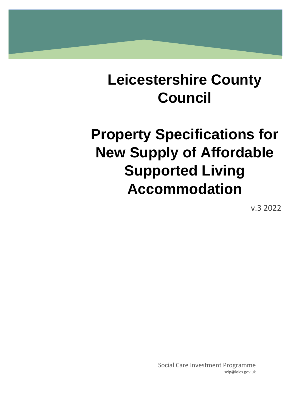# **Leicestershire County Council**

# **Property Specifications for New Supply of Affordable Supported Living Accommodation**

v.3 2022

Social Care Investment Programme scip@leics.gov.uk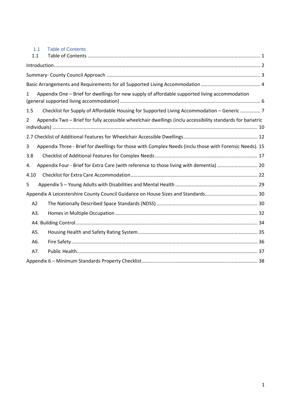<span id="page-1-0"></span>

| 1.1<br><b>Table of Contents</b>                                                                                               |
|-------------------------------------------------------------------------------------------------------------------------------|
| 1.1                                                                                                                           |
|                                                                                                                               |
|                                                                                                                               |
|                                                                                                                               |
| Appendix One – Brief for dwellings for new supply of affordable supported living accommodation<br>1                           |
| Checklist for Supply of Affordable Housing for Supported Living Accommodation - Generic  7<br>1.5                             |
| Appendix Two - Brief for fully accessible wheelchair dwellings (inclu accessibility standards for bariatric<br>$\overline{2}$ |
|                                                                                                                               |
| Appendix Three - Brief for dwellings for those with Complex Needs (inclu those with Forensic Needs). 15<br>3                  |
| 3.8                                                                                                                           |
| Appendix Four - Brief for Extra Care (with reference to those living with dementia)  20<br>4.                                 |
| 4.10                                                                                                                          |
| 5                                                                                                                             |
|                                                                                                                               |
| A2                                                                                                                            |
| A3.                                                                                                                           |
|                                                                                                                               |
| A5.                                                                                                                           |
| A6.                                                                                                                           |
| A7.                                                                                                                           |
|                                                                                                                               |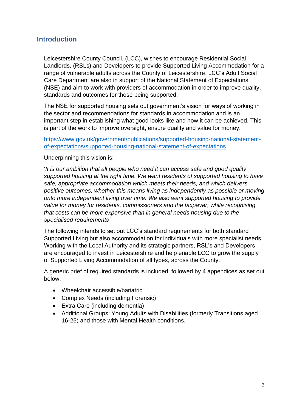# <span id="page-2-0"></span>**Introduction**

Leicestershire County Council, (LCC), wishes to encourage Residential Social Landlords, (RSLs) and Developers to provide Supported Living Accommodation for a range of vulnerable adults across the County of Leicestershire. LCC's Adult Social Care Department are also in support of the National Statement of Expectations (NSE) and aim to work with providers of accommodation in order to improve quality, standards and outcomes for those being supported.

The NSE for supported housing sets out government's vision for ways of working in the sector and recommendations for standards in accommodation and is an important step in establishing what good looks like and how it can be achieved. This is part of the work to improve oversight, ensure quality and value for money.

[https://www.gov.uk/government/publications/supported-housing-national-statement](https://www.gov.uk/government/publications/supported-housing-national-statement-of-expectations/supported-housing-national-statement-of-expectations)[of-expectations/supported-housing-national-statement-of-expectations](https://www.gov.uk/government/publications/supported-housing-national-statement-of-expectations/supported-housing-national-statement-of-expectations)

#### Underpinning this vision is;

'*It is our ambition that all people who need it can access safe and good quality supported housing at the right time. We want residents of supported housing to have safe, appropriate accommodation which meets their needs, and which delivers positive outcomes, whether this means living as independently as possible or moving onto more independent living over time. We also want supported housing to provide value for money for residents, commissioners and the taxpayer, while recognising that costs can be more expensive than in general needs housing due to the specialised requirements'*

The following intends to set out LCC's standard requirements for both standard Supported Living but also accommodation for individuals with more specialist needs. Working with the Local Authority and its strategic partners, RSL's and Developers are encouraged to invest in Leicestershire and help enable LCC to grow the supply of Supported Living Accommodation of all types, across the County.

A generic brief of required standards is included, followed by 4 appendices as set out below:

- Wheelchair accessible/bariatric
- Complex Needs (including Forensic)
- Extra Care (including dementia)
- Additional Groups: Young Adults with Disabilities (formerly Transitions aged 16-25) and those with Mental Health conditions.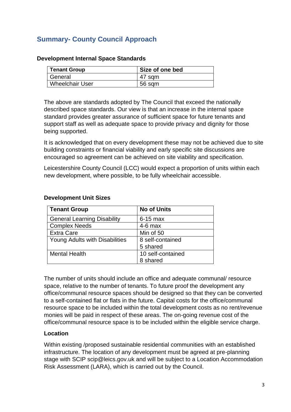# <span id="page-3-0"></span>**Summary- County Council Approach**

| <b>Tenant Group</b>    | Size of one bed |
|------------------------|-----------------|
| General                | 47 sqm          |
| <b>Wheelchair User</b> | 56 sqm          |

#### **Development Internal Space Standards**

The above are standards adopted by The Council that exceed the nationally described space standards. Our view is that an increase in the internal space standard provides greater assurance of sufficient space for future tenants and support staff as well as adequate space to provide privacy and dignity for those being supported.

It is acknowledged that on every development these may not be achieved due to site building constraints or financial viability and early specific site discussions are encouraged so agreement can be achieved on site viability and specification.

Leicestershire County Council (LCC) would expect a proportion of units within each new development, where possible, to be fully wheelchair accessible.

| <b>Tenant Group</b>                | <b>No of Units</b> |
|------------------------------------|--------------------|
| <b>General Learning Disability</b> | $6-15$ max         |
| <b>Complex Needs</b>               | $4-6$ max          |
| <b>Extra Care</b>                  | Min of 50          |
| Young Adults with Disabilities     | 8 self-contained   |
|                                    | 5 shared           |
| <b>Mental Health</b>               | 10 self-contained  |
|                                    | 8 shared           |

#### **Development Unit Sizes**

The number of units should include an office and adequate communal/ resource space, relative to the number of tenants. To future proof the development any office/communal resource spaces should be designed so that they can be converted to a self-contained flat or flats in the future. Capital costs for the office/communal resource space to be included within the total development costs as no rent/revenue monies will be paid in respect of these areas. The on-going revenue cost of the office/communal resource space is to be included within the eligible service charge.

#### **Location**

Within existing /proposed sustainable residential communities with an established infrastructure. The location of any development must be agreed at pre-planning stage with SCIP scip@leics.gov.uk and will be subject to a Location Accommodation Risk Assessment (LARA), which is carried out by the Council.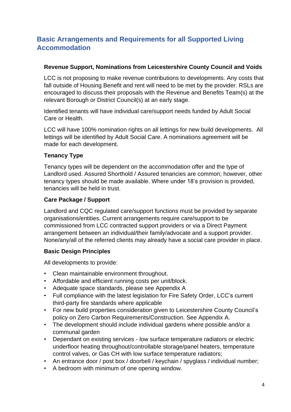# <span id="page-4-0"></span>**Basic Arrangements and Requirements for all Supported Living Accommodation**

#### **Revenue Support, Nominations from Leicestershire County Council and Voids**

LCC is not proposing to make revenue contributions to developments. Any costs that fall outside of Housing Benefit and rent will need to be met by the provider. RSLs are encouraged to discuss their proposals with the Revenue and Benefits Team(s) at the relevant Borough or District Council(s) at an early stage.

Identified tenants will have individual care/support needs funded by Adult Social Care or Health.

LCC will have 100% nomination rights on all lettings for new build developments. All lettings will be identified by Adult Social Care. A nominations agreement will be made for each development.

#### **Tenancy Type**

Tenancy types will be dependent on the accommodation offer and the type of Landlord used. Assured Shorthold / Assured tenancies are common; however, other tenancy types should be made available. Where under 18's provision is provided, tenancies will be held in trust.

#### **Care Package / Support**

Landlord and CQC regulated care/support functions must be provided by separate organisations/entities. Current arrangements require care/support to be commissioned from LCC contracted support providers or via a Direct Payment arrangement between an individual/their family/advocate and a support provider. None/any/all of the referred clients may already have a social care provider in place.

#### **Basic Design Principles**

All developments to provide:

- Clean maintainable environment throughout.
- Affordable and efficient running costs per unit/block.
- Adequate space standards, please see Appendix A
- Full compliance with the latest legislation for Fire Safety Order, LCC's current third-party fire standards where applicable
- For new build properties consideration given to Leicestershire County Council's policy on Zero Carbon Requirements/Construction. See Appendix A.
- The development should include individual gardens where possible and/or a communal garden
- Dependant on existing services low surface temperature radiators or electric underfloor heating throughout/controllable storage/panel heaters, temperature control valves, or Gas CH with low surface temperature radiators;
- An entrance door / post box / doorbell / keychain / spyglass / individual number;
- A bedroom with minimum of one opening window.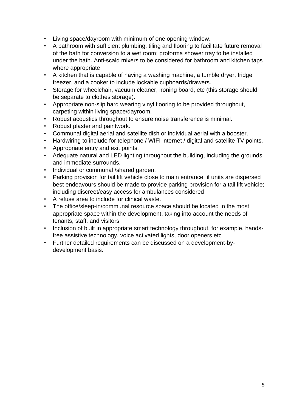- Living space/dayroom with minimum of one opening window.
- A bathroom with sufficient plumbing, tiling and flooring to facilitate future removal of the bath for conversion to a wet room; proforma shower tray to be installed under the bath. Anti-scald mixers to be considered for bathroom and kitchen taps where appropriate
- A kitchen that is capable of having a washing machine, a tumble dryer, fridge freezer, and a cooker to include lockable cupboards/drawers.
- Storage for wheelchair, vacuum cleaner, ironing board, etc (this storage should be separate to clothes storage).
- Appropriate non-slip hard wearing vinyl flooring to be provided throughout, carpeting within living space/dayroom.
- Robust acoustics throughout to ensure noise transference is minimal.
- Robust plaster and paintwork.
- Communal digital aerial and satellite dish or individual aerial with a booster.
- Hardwiring to include for telephone / WIFI internet / digital and satellite TV points.
- Appropriate entry and exit points.
- Adequate natural and LED lighting throughout the building, including the grounds and immediate surrounds.
- Individual or communal /shared garden.
- Parking provision for tail lift vehicle close to main entrance; if units are dispersed best endeavours should be made to provide parking provision for a tail lift vehicle; including discreet/easy access for ambulances considered
- A refuse area to include for clinical waste.
- The office/sleep-in/communal resource space should be located in the most appropriate space within the development, taking into account the needs of tenants, staff, and visitors
- Inclusion of built in appropriate smart technology throughout, for example, handsfree assistive technology, voice activated lights, door openers etc
- Further detailed requirements can be discussed on a development-bydevelopment basis.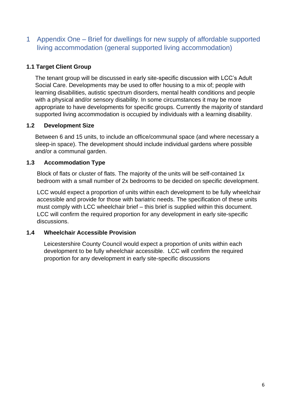# <span id="page-6-0"></span>1 Appendix One – Brief for dwellings for new supply of affordable supported living accommodation (general supported living accommodation)

## **1.1 Target Client Group**

The tenant group will be discussed in early site-specific discussion with LCC's Adult Social Care. Developments may be used to offer housing to a mix of; people with learning disabilities, autistic spectrum disorders, mental health conditions and people with a physical and/or sensory disability. In some circumstances it may be more appropriate to have developments for specific groups. Currently the majority of standard supported living accommodation is occupied by individuals with a learning disability.

## **1.2 Development Size**

Between 6 and 15 units, to include an office/communal space (and where necessary a sleep-in space). The development should include individual gardens where possible and/or a communal garden.

## **1.3 Accommodation Type**

Block of flats or cluster of flats. The majority of the units will be self-contained 1x bedroom with a small number of 2x bedrooms to be decided on specific development.

LCC would expect a proportion of units within each development to be fully wheelchair accessible and provide for those with bariatric needs. The specification of these units must comply with LCC wheelchair brief – this brief is supplied within this document. LCC will confirm the required proportion for any development in early site-specific discussions.

#### **1.4 Wheelchair Accessible Provision**

Leicestershire County Council would expect a proportion of units within each development to be fully wheelchair accessible. LCC will confirm the required proportion for any development in early site-specific discussions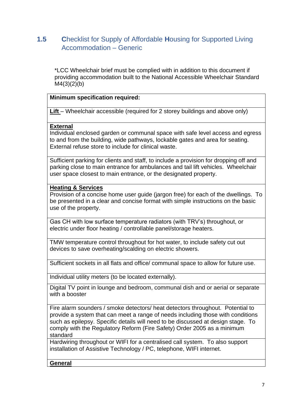# <span id="page-7-0"></span>**1.5 C**hecklist for Supply of Affordable **H**ousing for Supported Living Accommodation – Generic

\*LCC Wheelchair brief must be complied with in addition to this document if providing accommodation built to the National Accessible Wheelchair Standard  $M4(3)(2)(b)$ 

#### **Minimum specification required:**

Lift – Wheelchair accessible (required for 2 storey buildings and above only)

#### **External**

Individual enclosed garden or communal space with safe level access and egress to and from the building, wide pathways, lockable gates and area for seating. External refuse store to include for clinical waste.

Sufficient parking for clients and staff, to include a provision for dropping off and parking close to main entrance for ambulances and tail lift vehicles. Wheelchair user space closest to main entrance, or the designated property.

#### **Heating & Services**

Provision of a concise home user guide (jargon free) for each of the dwellings. To be presented in a clear and concise format with simple instructions on the basic use of the property.

Gas CH with low surface temperature radiators (with TRV's) throughout, or electric under floor heating / controllable panel/storage heaters.

TMW temperature control throughout for hot water, to include safety cut out devices to save overheating/scalding on electric showers.

Sufficient sockets in all flats and office/ communal space to allow for future use.

Individual utility meters (to be located externally).

Digital TV point in lounge and bedroom, communal dish and or aerial or separate with a booster

Fire alarm sounders / smoke detectors/ heat detectors throughout. Potential to provide a system that can meet a range of needs including those with conditions such as epilepsy. Specific details will need to be discussed at design stage. To comply with the Regulatory Reform (Fire Safety) Order 2005 as a minimum standard

Hardwiring throughout or WIFI for a centralised call system. To also support installation of Assistive Technology / PC, telephone, WIFI internet.

**General**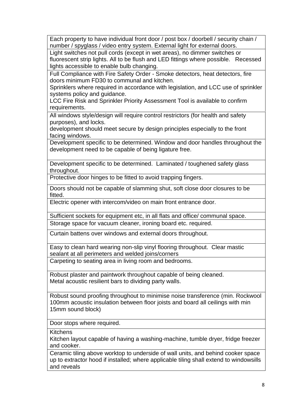Each property to have individual front door / post box / doorbell / security chain / number / spyglass / video entry system. External light for external doors.

Light switches not pull cords (except in wet areas), no dimmer switches or fluorescent strip lights. All to be flush and LED fittings where possible. Recessed lights accessible to enable bulb changing.

Full Compliance with Fire Safety Order - Smoke detectors, heat detectors, fire doors minimum FD30 to communal and kitchen.

Sprinklers where required in accordance with legislation, and LCC use of sprinkler systems policy and guidance.

LCC Fire Risk and Sprinkler Priority Assessment Tool is available to confirm requirements.

All windows style/design will require control restrictors (for health and safety purposes), and locks.

development should meet secure by design principles especially to the front facing windows.

Development specific to be determined. Window and door handles throughout the development need to be capable of being ligature free.

Development specific to be determined. Laminated / toughened safety glass throughout.

Protective door hinges to be fitted to avoid trapping fingers.

Doors should not be capable of slamming shut, soft close door closures to be fitted.

Electric opener with intercom/video on main front entrance door.

Sufficient sockets for equipment etc, in all flats and office/ communal space. Storage space for vacuum cleaner, ironing board etc. required.

Curtain battens over windows and external doors throughout.

Easy to clean hard wearing non-slip vinyl flooring throughout. Clear mastic sealant at all perimeters and welded joins/corners Carpeting to seating area in living room and bedrooms.

Robust plaster and paintwork throughout capable of being cleaned. Metal acoustic resilient bars to dividing party walls.

Robust sound proofing throughout to minimise noise transference (min. Rockwool 100mm acoustic insulation between floor joists and board all ceilings with min 15mm sound block)

Door stops where required.

**Kitchens** 

Kitchen layout capable of having a washing-machine, tumble dryer, fridge freezer and cooker.

Ceramic tiling above worktop to underside of wall units, and behind cooker space up to extractor hood if installed; where applicable tiling shall extend to windowsills and reveals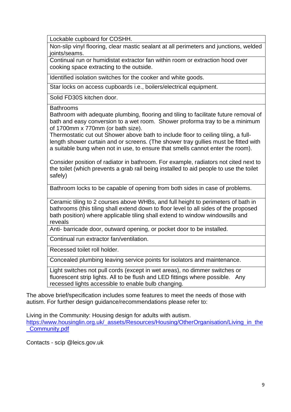Lockable cupboard for COSHH.

Non-slip vinyl flooring, clear mastic sealant at all perimeters and junctions, welded joints/seams.

Continual run or humidistat extractor fan within room or extraction hood over cooking space extracting to the outside.

Identified isolation switches for the cooker and white goods.

Star locks on access cupboards i.e., boilers/electrical equipment.

Solid FD30S kitchen door.

Bathrooms

Bathroom with adequate plumbing, flooring and tiling to facilitate future removal of bath and easy conversion to a wet room. Shower proforma tray to be a minimum of 1700mm x 770mm (or bath size).

Thermostatic cut out Shower above bath to include floor to ceiling tiling, a fulllength shower curtain and or screens. (The shower tray gullies must be fitted with a suitable bung when not in use, to ensure that smells cannot enter the room).

Consider position of radiator in bathroom. For example, radiators not cited next to the toilet (which prevents a grab rail being installed to aid people to use the toilet safely)

Bathroom locks to be capable of opening from both sides in case of problems.

Ceramic tiling to 2 courses above WHBs, and full height to perimeters of bath in bathrooms (this tiling shall extend down to floor level to all sides of the proposed bath position) where applicable tiling shall extend to window windowsills and reveals

Anti- barricade door, outward opening, or pocket door to be installed.

Continual run extractor fan/ventilation.

Recessed toilet roll holder.

Concealed plumbing leaving service points for isolators and maintenance.

Light switches not pull cords (except in wet areas), no dimmer switches or fluorescent strip lights. All to be flush and LED fittings where possible. Any recessed lights accessible to enable bulb changing.

The above brief/specification includes some features to meet the needs of those with autism. For further design guidance/recommendations please refer to:

Living in the Community: Housing design for adults with autism.

[https://www.housinglin.org.uk/\\_assets/Resources/Housing/OtherOrganisation/Living\\_in\\_the](https://www.housinglin.org.uk/_assets/Resources/Housing/OtherOrganisation/Living_in_the_Community.pdf) [\\_Community.pdf](https://www.housinglin.org.uk/_assets/Resources/Housing/OtherOrganisation/Living_in_the_Community.pdf)

Contacts - scip @leics.gov.uk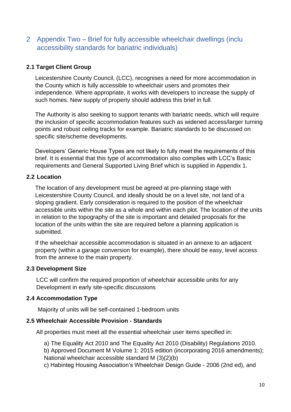# <span id="page-10-0"></span>2 Appendix Two – Brief for fully accessible wheelchair dwellings (inclu accessibility standards for bariatric individuals)

## **2.1 Target Client Group**

Leicestershire County Council, (LCC), recognises a need for more accommodation in the County which is fully accessible to wheelchair users and promotes their independence. Where appropriate, it works with developers to increase the supply of such homes. New supply of property should address this brief in full.

The Authority is also seeking to support tenants with bariatric needs, which will require the inclusion of specific accommodation features such as widened access/larger turning points and robust ceiling tracks for example. Bariatric standards to be discussed on specific site/scheme developments.

Developers' Generic House Types are not likely to fully meet the requirements of this brief. It is essential that this type of accommodation also complies with LCC's Basic requirements and General Supported Living Brief which is supplied in Appendix 1.

#### **2.2 Location**

The location of any development must be agreed at pre-planning stage with Leicestershire County Council, and ideally should be on a level site, not land of a sloping gradient. Early consideration is required to the position of the wheelchair accessible units within the site as a whole and within each plot. The location of the units in relation to the topography of the site is important and detailed proposals for the location of the units within the site are required before a planning application is submitted.

If the wheelchair accessible accommodation is situated in an annexe to an adjacent property (within a garage conversion for example), there should be easy, level access from the annexe to the main property.

#### **2.3 Development Size**

LCC will confirm the required proportion of wheelchair accessible units for any Development in early site-specific discussions

#### **2.4 Accommodation Type**

Majority of units will be self-contained 1-bedroom units

## **2.5 Wheelchair Accessible Provision - Standards**

All properties must meet all the essential wheelchair user items specified in:

a) The Equality Act 2010 and The Equality Act 2010 (Disability) Regulations 2010.

b) Approved Document M Volume 1: 2015 edition (incorporating 2016 amendments); National wheelchair accessible standard M (3)(2)(b)

c) Habinteg Housing Association's Wheelchair Design Guide - 2006 (2nd ed), and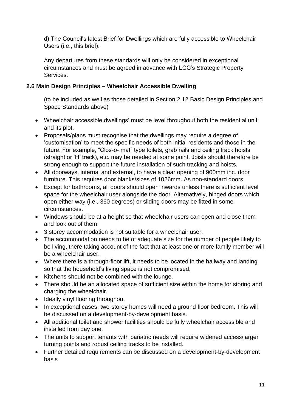d) The Council's latest Brief for Dwellings which are fully accessible to Wheelchair Users (i.e., this brief).

Any departures from these standards will only be considered in exceptional circumstances and must be agreed in advance with LCC's Strategic Property **Services** 

## **2.6 Main Design Principles – Wheelchair Accessible Dwelling**

(to be included as well as those detailed in Section 2.12 Basic Design Principles and Space Standards above)

- Wheelchair accessible dwellings' must be level throughout both the residential unit and its plot.
- Proposals/plans must recognise that the dwellings may require a degree of 'customisation' to meet the specific needs of both initial residents and those in the future. For example, "Clos-o- mat" type toilets, grab rails and ceiling track hoists (straight or 'H' track), etc. may be needed at some point. Joists should therefore be strong enough to support the future installation of such tracking and hoists.
- All doorways, internal and external, to have a clear opening of 900mm inc. door furniture. This requires door blanks/sizes of 1026mm. As non-standard doors.
- Except for bathrooms, all doors should open inwards unless there is sufficient level space for the wheelchair user alongside the door. Alternatively, hinged doors which open either way (i.e., 360 degrees) or sliding doors may be fitted in some circumstances.
- Windows should be at a height so that wheelchair users can open and close them and look out of them.
- 3 storey accommodation is not suitable for a wheelchair user.
- The accommodation needs to be of adequate size for the number of people likely to be living, there taking account of the fact that at least one or more family member will be a wheelchair user.
- Where there is a through-floor lift, it needs to be located in the hallway and landing so that the household's living space is not compromised.
- Kitchens should not be combined with the lounge.
- There should be an allocated space of sufficient size within the home for storing and charging the wheelchair.
- Ideally vinyl flooring throughout
- In exceptional cases, two-storey homes will need a ground floor bedroom. This will be discussed on a development-by-development basis.
- All additional toilet and shower facilities should be fully wheelchair accessible and installed from day one.
- The units to support tenants with bariatric needs will require widened access/larger turning points and robust ceiling tracks to be installed.
- Further detailed requirements can be discussed on a development-by-development basis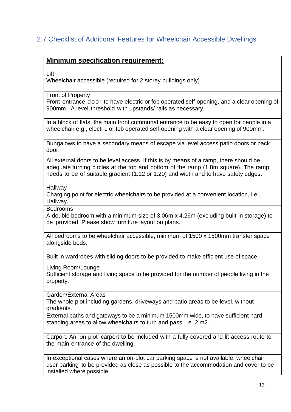# <span id="page-12-0"></span>2.7 Checklist of Additional Features for Wheelchair Accessible Dwellings

## **Minimum specification requirement:**

Lift

Wheelchair accessible (required for 2 storey buildings only)

Front of Property

Front entrance door to have electric or fob operated self-opening, and a clear opening of 900mm. A level threshold with upstands/ rails as necessary.

In a block of flats, the main front communal entrance to be easy to open for people in a wheelchair e.g., electric or fob operated self-opening with a clear opening of 900mm.

Bungalows to have a secondary means of escape via level access patio doors or back door.

All external doors to be level access. If this is by means of a ramp, there should be adequate turning circles at the top and bottom of the ramp (1.8m square). The ramp needs to be of suitable gradient (1:12 or 1:20) and width and to have safety edges.

Hallway

Charging point for electric wheelchairs to be provided at a convenient location, i.e., Hallway.

Bedrooms

A double bedroom with a minimum size of 3.06m x 4.26m (excluding built-in storage) to be provided. Please show furniture layout on plans.

All bedrooms to be wheelchair accessible, minimum of 1500 x 1500mm transfer space alongside beds.

Built in wardrobes with sliding doors to be provided to make efficient use of space.

Living Room/Lounge

Sufficient storage and living space to be provided for the number of people living in the property.

Garden/External Areas

The whole plot including gardens, driveways and patio areas to be level, without gradients.

External paths and gateways to be a minimum 1500mm wide, to have sufficient hard standing areas to allow wheelchairs to turn and pass, i.e.,2 m2.

Carport. An 'on plot' carport to be included with a fully covered and lit access route to the main entrance of the dwelling.

In exceptional cases where an on-plot car parking space is not available, wheelchair user parking to be provided as close as possible to the accommodation and cover to be installed where possible.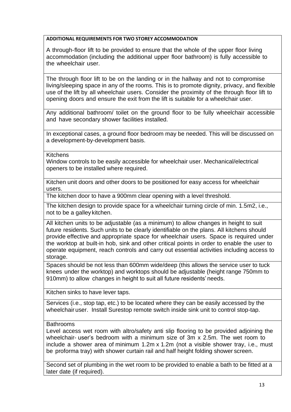#### **ADDITIONAL REQUIREMENTS FOR TWO STOREY ACCOMMODATION**

A through-floor lift to be provided to ensure that the whole of the upper floor living accommodation (including the additional upper floor bathroom) is fully accessible to the wheelchair user.

The through floor lift to be on the landing or in the hallway and not to compromise living/sleeping space in any of the rooms. This is to promote dignity, privacy, and flexible use of the lift by all wheelchair users. Consider the proximity of the through floor lift to opening doors and ensure the exit from the lift is suitable for a wheelchair user.

Any additional bathroom/ toilet on the ground floor to be fully wheelchair accessible and have secondary shower facilities installed.

In exceptional cases, a ground floor bedroom may be needed. This will be discussed on a development-by-development basis.

**Kitchens** 

Window controls to be easily accessible for wheelchair user. Mechanical/electrical openers to be installed where required.

Kitchen unit doors and other doors to be positioned for easy access for wheelchair users.

The kitchen door to have a 900mm clear opening with a level threshold.

The kitchen design to provide space for a wheelchair turning circle of min. 1.5m2, i.e., not to be a galley kitchen.

All kitchen units to be adjustable (as a minimum) to allow changes in height to suit future residents. Such units to be clearly identifiable on the plans. All kitchens should provide effective and appropriate space for wheelchair users. Space is required under the worktop at built-in hob, sink and other critical points in order to enable the user to operate equipment, reach controls and carry out essential activities including access to storage.

Spaces should be not less than 600mm wide/deep (this allows the service user to tuck knees under the worktop) and worktops should be adjustable (height range 750mm to 910mm) to allow changes in height to suit all future residents' needs.

Kitchen sinks to have lever taps.

Services (i.e., stop tap, etc.) to be located where they can be easily accessed by the wheelchair user. Install Surestop remote switch inside sink unit to control stop-tap.

**Bathrooms** 

Level access wet room with altro/safety anti slip flooring to be provided adjoining the wheelchair- user's bedroom with a minimum size of 3m x 2.5m. The wet room to include a shower area of minimum 1.2m x 1.2m (not a visible shower tray, i.e., must be proforma tray) with shower curtain rail and half height folding shower screen.

Second set of plumbing in the wet room to be provided to enable a bath to be fitted at a later date (if required).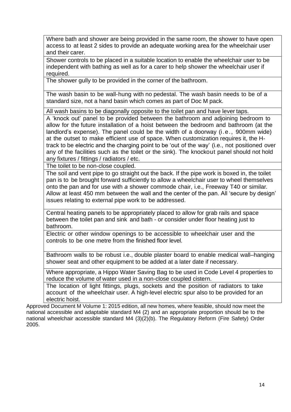Where bath and shower are being provided in the same room, the shower to have open access to at least 2 sides to provide an adequate working area for the wheelchair user and their carer.

Shower controls to be placed in a suitable location to enable the wheelchair user to be independent with bathing as well as for a carer to help shower the wheelchair user if required.

The shower gully to be provided in the corner of the bathroom.

The wash basin to be wall-hung with no pedestal. The wash basin needs to be of a standard size, not a hand basin which comes as part of Doc M pack.

All wash basins to be diagonally opposite to the toilet pan and have lever taps.

A 'knock out' panel to be provided between the bathroom and adjoining bedroom to allow for the future installation of a hoist between the bedroom and bathroom (at the landlord's expense). The panel could be the width of a doorway (i.e., 900mm wide) at the outset to make efficient use of space. When customization requires it, the Htrack to be electric and the charging point to be 'out of the way' (i.e., not positioned over any of the facilities such as the toilet or the sink). The knockout panel should not hold any fixtures / fittings / radiators / etc.

The toilet to be non-close coupled.

The soil and vent pipe to go straight out the back. If the pipe work is boxed in, the toilet pan is to be brought forward sufficiently to allow a wheelchair user to wheel themselves onto the pan and for use with *a* shower commode chair, i.e., Freeway T40 or similar*.* Allow at least 450 mm between the wall and the center of the pan. All 'secure by design' issues relating to external pipe work to be addressed.

Central heating panels to be appropriately placed to allow for grab rails and space between the toilet pan and sink and bath - or consider under floor heating just to bathroom.

Electric or other window openings to be accessible to wheelchair user and the controls to be one metre from the finished floor level.

Bathroom walls to be robust i.e., double plaster board to enable medical wall–hanging shower seat and other equipment to be added at a later date if necessary.

Where appropriate, a Hippo Water Saving Bag to be used in Code Level 4 properties to reduce the volume of water used in a non-close coupled cistern.

The location of light fittings, plugs, sockets and the position of radiators to take account of the wheelchair user. A high-level electric spur also to be provided for an electric hoist.

Approved Document M Volume 1: 2015 edition, all new homes, where feasible, should now meet the national accessible and adaptable standard M4 (2) and an appropriate proportion should be to the national wheelchair accessible standard M4 (3)(2)(b). The Regulatory Reform (Fire Safety) Order 2005.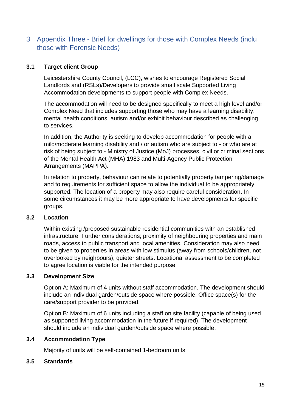# <span id="page-15-0"></span>3 Appendix Three - Brief for dwellings for those with Complex Needs (inclu those with Forensic Needs)

#### **3.1 Target client Group**

Leicestershire County Council, (LCC), wishes to encourage Registered Social Landlords and (RSLs)/Developers to provide small scale Supported Living Accommodation developments to support people with Complex Needs.

The accommodation will need to be designed specifically to meet a high level and/or Complex Need that includes supporting those who may have a learning disability, mental health conditions, autism and/or exhibit behaviour described as challenging to services.

In addition, the Authority is seeking to develop accommodation for people with a mild/moderate learning disability and / or autism who are subject to - or who are at risk of being subject to - Ministry of Justice (MoJ) processes, civil or criminal sections of the Mental Health Act (MHA) 1983 and Multi-Agency Public Protection Arrangements (MAPPA).

In relation to property, behaviour can relate to potentially property tampering/damage and to requirements for sufficient space to allow the individual to be appropriately supported. The location of a property may also require careful consideration. In some circumstances it may be more appropriate to have developments for specific groups.

#### **3.2 Location**

Within existing /proposed sustainable residential communities with an established infrastructure. Further considerations; proximity of neighbouring properties and main roads, access to public transport and local amenities. Consideration may also need to be given to properties in areas with low stimulus (away from schools/children, not overlooked by neighbours), quieter streets. Locational assessment to be completed to agree location is viable for the intended purpose.

#### **3.3 Development Size**

Option A: Maximum of 4 units without staff accommodation. The development should include an individual garden/outside space where possible. Office space(s) for the care/support provider to be provided.

Option B: Maximum of 6 units including a staff on site facility (capable of being used as supported living accommodation in the future if required). The development should include an individual garden/outside space where possible.

#### **3.4 Accommodation Type**

Majority of units will be self-contained 1-bedroom units.

#### **3.5 Standards**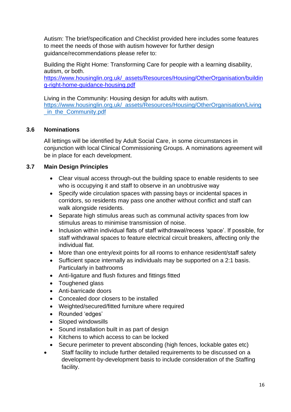Autism: The brief/specification and Checklist provided here includes some features to meet the needs of those with autism however for further design guidance/recommendations please refer to:

Building the Right Home: Transforming Care for people with a learning disability, autism, or both.

[https://www.housinglin.org.uk/\\_assets/Resources/Housing/OtherOrganisation/buildin](https://www.housinglin.org.uk/_assets/Resources/Housing/OtherOrganisation/building-right-home-guidance-housing.pdf) [g-right-home-guidance-housing.pdf](https://www.housinglin.org.uk/_assets/Resources/Housing/OtherOrganisation/building-right-home-guidance-housing.pdf)

in\_the\_[Community.pdf](https://www.housinglin.org.uk/_assets/Resources/Housing/OtherOrganisation/Living_in_the_Community.pdf) Living in the Community: Housing design for adults with autism. [https://www.housinglin.org.uk/\\_assets/Resources/Housing/OtherOrganisation/Living](https://www.housinglin.org.uk/_assets/Resources/Housing/OtherOrganisation/Living_in_the_Community.pdf)

## **3.6 Nominations**

All lettings will be identified by Adult Social Care, in some circumstances in conjunction with local Clinical Commissioning Groups. A nominations agreement will be in place for each development.

#### **3.7 Main Design Principles**

- Clear visual access through-out the building space to enable residents to see who is occupving it and staff to observe in an unobtrusive way
- Specify wide circulation spaces with passing bays or incidental spaces in corridors, so residents may pass one another without conflict and staff can walk alongside residents.
- Separate high stimulus areas such as communal activity spaces from low stimulus areas to minimise transmission of noise.
- Inclusion within individual flats of staff withdrawal/recess 'space'. If possible, for staff withdrawal spaces to feature electrical circuit breakers, affecting only the individual flat.
- More than one entry/exit points for all rooms to enhance resident/staff safety
- Sufficient space internally as individuals may be supported on a 2:1 basis. Particularly in bathrooms
- Anti-ligature and flush fixtures and fittings fitted
- Toughened glass
- Anti-barricade doors
- Concealed door closers to be installed
- Weighted/secured/fitted furniture where required
- Rounded 'edges'
- Sloped windowsills
- Sound installation built in as part of design
- Kitchens to which access to can be locked
- Secure perimeter to prevent absconding (high fences, lockable gates etc)
- Staff facility to include further detailed requirements to be discussed on a development-by-development basis to include consideration of the Staffing facility.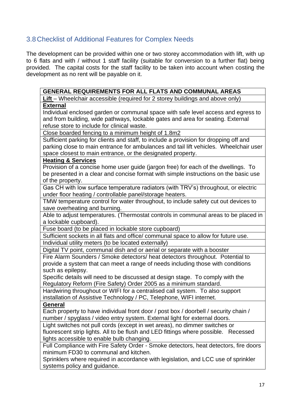# <span id="page-17-0"></span>3.8 Checklist of Additional Features for Complex Needs

The development can be provided within one or two storey accommodation with lift, with up to 6 flats and with / without 1 staff facility (suitable for conversion to a further flat) being provided. The capital costs for the staff facility to be taken into account when costing the development as no rent will be payable on it.

| <b>GENERAL REQUIREMENTS FOR ALL FLATS AND COMMUNAL AREAS</b>                          |
|---------------------------------------------------------------------------------------|
| Lift – Wheelchair accessible (required for 2 storey buildings and above only)         |
| <b>External</b>                                                                       |
| Individual enclosed garden or communal space with safe level access and egress to     |
| and from building, wide pathways, lockable gates and area for seating. External       |
| refuse store to include for clinical waste.                                           |
| Close boarded fencing to a minimum height of 1.8m2                                    |
| Sufficient parking for clients and staff, to include a provision for dropping off and |
| parking close to main entrance for ambulances and tail lift vehicles. Wheelchair user |
| space closest to main entrance, or the designated property.                           |
| <b>Heating &amp; Services</b>                                                         |
| Provision of a concise home user guide (jargon free) for each of the dwellings. To    |
| be presented in a clear and concise format with simple instructions on the basic use  |
| of the property.                                                                      |
| Gas CH with low surface temperature radiators (with TRV's) throughout, or electric    |
| under floor heating / controllable panel/storage heaters.                             |
| TMW temperature control for water throughout, to include safety cut out devices to    |
| save overheating and burning.                                                         |
| Able to adjust temperatures. (Thermostat controls in communal areas to be placed in   |
| a lockable cupboard).                                                                 |
| Fuse board (to be placed in lockable store cupboard)                                  |
| Sufficient sockets in all flats and office/ communal space to allow for future use.   |
| Individual utility meters (to be located externally)                                  |
| Digital TV point, communal dish and or aerial or separate with a booster              |
| Fire Alarm Sounders / Smoke detectors/ heat detectors throughout. Potential to        |
| provide a system that can meet a range of needs including those with conditions       |
| such as epilepsy.                                                                     |
| Specific details will need to be discussed at design stage. To comply with the        |
| Regulatory Reform (Fire Safety) Order 2005 as a minimum standard.                     |
| Hardwiring throughout or WIFI for a centralised call system. To also support          |
| installation of Assistive Technology / PC, Telephone, WIFI internet.                  |
| General                                                                               |
| Each property to have individual front door / post box / doorbell / security chain /  |
| number / spyglass / video entry system. External light for external doors.            |
| Light switches not pull cords (except in wet areas), no dimmer switches or            |
| fluorescent strip lights. All to be flush and LED fittings where possible. Recessed   |
| lights accessible to enable bulb changing.                                            |
| Full Compliance with Fire Safety Order - Smoke detectors, heat detectors, fire doors  |
| minimum FD30 to communal and kitchen.                                                 |
| Sprinklers where required in accordance with legislation, and LCC use of sprinkler    |
| systems policy and guidance.                                                          |
|                                                                                       |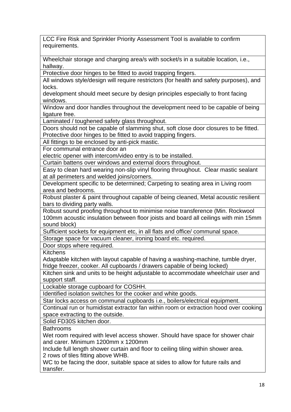LCC Fire Risk and Sprinkler Priority Assessment Tool is available to confirm requirements.

Wheelchair storage and charging area/s with socket/s in a suitable location, i.e., hallway.

Protective door hinges to be fitted to avoid trapping fingers.

All windows style/design will require restrictors (for health and safety purposes), and locks.

development should meet secure by design principles especially to front facing windows.

Window and door handles throughout the development need to be capable of being ligature free.

Laminated / toughened safety glass throughout.

Doors should not be capable of slamming shut, soft close door closures to be fitted. Protective door hinges to be fitted to avoid trapping fingers.

All fittings to be enclosed by anti-pick mastic.

For communal entrance door an

electric opener with intercom/video entry is to be installed.

Curtain battens over windows and external doors throughout.

Easy to clean hard wearing non-slip vinyl flooring throughout. Clear mastic sealant at all perimeters and welded joins/corners.

Development specific to be determined; Carpeting to seating area in Living room area and bedrooms.

Robust plaster & paint throughout capable of being cleaned, Metal acoustic resilient bars to dividing party walls.

Robust sound proofing throughout to minimise noise transference (Min. Rockwool 100mm acoustic insulation between floor joists and board all ceilings with min 15mm sound block)

Sufficient sockets for equipment etc, in all flats and office/ communal space.

Storage space for vacuum cleaner, ironing board etc. required.

Door stops where required.

**Kitchens** 

Adaptable kitchen with layout capable of having a washing-machine, tumble dryer, fridge freezer, cooker. All cupboards / drawers capable of being locked)

Kitchen sink and units to be height adjustable to accommodate wheelchair user and support staff.

Lockable storage cupboard for COSHH.

Identified isolation switches for the cooker and white goods.

Star locks access on communal cupboards i.e., boilers/electrical equipment.

Continual run or humidistat extractor fan within room or extraction hood over cooking space extracting to the outside.

Solid FD30S kitchen door.

**Bathrooms** 

Wet room required with level access shower. Should have space for shower chair and carer. Minimum 1200mm x 1200mm

Include full length shower curtain and floor to ceiling tiling within shower area. 2 rows of tiles fitting above WHB.

WC to be facing the door, suitable space at sides to allow for future rails and transfer.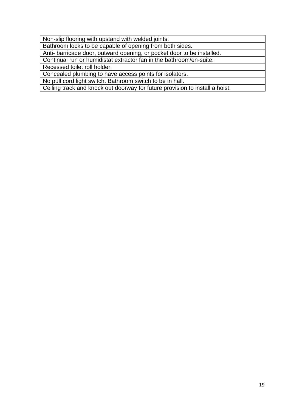Non-slip flooring with upstand with welded joints.

Bathroom locks to be capable of opening from both sides.

Anti- barricade door, outward opening, or pocket door to be installed.

Continual run or humidistat extractor fan in the bathroom/en-suite.

Recessed toilet roll holder.

Concealed plumbing to have access points for isolators.

No pull cord light switch. Bathroom switch to be in hall.

Ceiling track and knock out doorway for future provision to install a hoist.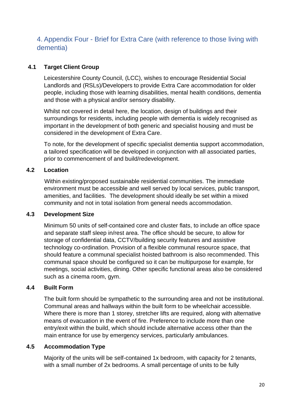# <span id="page-20-0"></span>4. Appendix Four - Brief for Extra Care (with reference to those living with dementia)

#### **4.1 Target Client Group**

Leicestershire County Council, (LCC), wishes to encourage Residential Social Landlords and (RSLs)/Developers to provide Extra Care accommodation for older people, including those with learning disabilities, mental health conditions, dementia and those with a physical and/or sensory disability.

Whilst not covered in detail here, the location, design of buildings and their surroundings for residents, including people with dementia is widely recognised as important in the development of both generic and specialist housing and must be considered in the development of Extra Care.

To note, for the development of specific specialist dementia support accommodation, a tailored specification will be developed in conjunction with all associated parties, prior to commencement of and build/redevelopment.

#### **4.2 Location**

Within existing/proposed sustainable residential communities. The immediate environment must be accessible and well served by local services, public transport, amenities, and facilities. The development should ideally be set within a mixed community and not in total isolation from general needs accommodation.

#### **4.3 Development Size**

Minimum 50 units of self-contained core and cluster flats, to include an office space and separate staff sleep in/rest area. The office should be secure, to allow for storage of confidential data, CCTV/building security features and assistive technology co-ordination. Provision of a flexible communal resource space, that should feature a communal specialist hoisted bathroom is also recommended. This communal space should be configured so it can be multipurpose for example, for meetings, social activities, dining. Other specific functional areas also be considered such as a cinema room, gym.

#### **4.4 Built Form**

The built form should be sympathetic to the surrounding area and not be institutional. Communal areas and hallways within the built form to be wheelchair accessible. Where there is more than 1 storey, stretcher lifts are required, along with alternative means of evacuation in the event of fire. Preference to include more than one entry/exit within the build, which should include alternative access other than the main entrance for use by emergency services, particularly ambulances.

#### **4.5 Accommodation Type**

Majority of the units will be self-contained 1x bedroom, with capacity for 2 tenants, with a small number of 2x bedrooms. A small percentage of units to be fully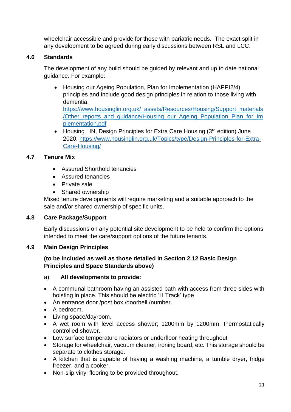wheelchair accessible and provide for those with bariatric needs. The exact split in any development to be agreed during early discussions between RSL and LCC.

## **4.6 Standards**

The development of any build should be guided by relevant and up to date national guidance. For example:

- /Other\_reports\_and\_guidance/Housing\_our\_Ageing\_Population\_Plan\_for\_Im • Housing our Ageing Population, Plan for Implementation (HAPPI2/4) principles and include good design principles in relation to those living with dementia. [https://www.housinglin.org.uk/\\_assets/Resources/Housing/Support\\_materials](https://www.housinglin.org.uk/_assets/Resources/Housing/Support_materials/Other_reports_and_guidance/Housing_our_Ageing_Population_Plan_for_Implementation.pdf) [plementation.pdf](https://www.housinglin.org.uk/_assets/Resources/Housing/Support_materials/Other_reports_and_guidance/Housing_our_Ageing_Population_Plan_for_Implementation.pdf)
- Housing LIN, Design Principles for Extra Care Housing (3<sup>rd</sup> edition) June 2020. [https://www.housinglin.org.uk/Topics/type/Design-Principles-for-Extra-](https://www.housinglin.org.uk/Topics/type/Design-Principles-for-Extra-Care-Housing/)[Care-Housing/](https://www.housinglin.org.uk/Topics/type/Design-Principles-for-Extra-Care-Housing/)

#### **4.7 Tenure Mix**

- Assured Shorthold tenancies
- Assured tenancies
- Private sale
- Shared ownership

Mixed tenure developments will require marketing and a suitable approach to the sale and/or shared ownership of specific units.

#### **4.8 Care Package/Support**

Early discussions on any potential site development to be held to confirm the options intended to meet the care/support options of the future tenants.

#### **4.9 Main Design Principles**

#### **(to be included as well as those detailed in Section 2.12 Basic Design Principles and Space Standards above)**

#### a) **All developments to provide:**

- A communal bathroom having an assisted bath with access from three sides with hoisting in place. This should be electric 'H Track' type
- An entrance door /post box /doorbell /number.
- A bedroom.
- Living space/dayroom.
- A wet room with level access shower; 1200mm by 1200mm, thermostatically controlled shower.
- Low surface temperature radiators or underfloor heating throughout
- Storage for wheelchair, vacuum cleaner, ironing board, etc. This storage should be separate to clothes storage.
- A kitchen that is capable of having a washing machine, a tumble dryer, fridge freezer, and a cooker.
- Non-slip vinyl flooring to be provided throughout.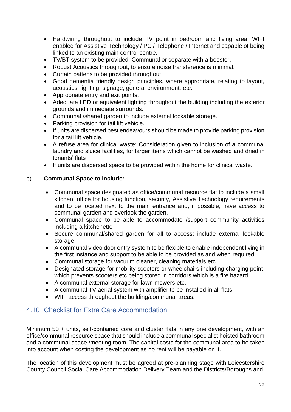- Hardwiring throughout to include TV point in bedroom and living area, WIFI enabled for Assistive Technology / PC / Telephone / Internet and capable of being linked to an existing main control centre.
- TV/BT system to be provided; Communal or separate with a booster.
- Robust Acoustics throughout, to ensure noise transference is minimal.
- Curtain battens to be provided throughout.
- Good dementia friendly design principles, where appropriate, relating to layout, acoustics, lighting, signage, general environment, etc.
- Appropriate entry and exit points.
- Adequate LED or equivalent lighting throughout the building including the exterior grounds and immediate surrounds.
- Communal /shared garden to include external lockable storage.
- Parking provision for tail lift vehicle.
- If units are dispersed best endeavours should be made to provide parking provision for a tail lift vehicle.
- A refuse area for clinical waste; Consideration given to inclusion of a communal laundry and sluice facilities, for larger items which cannot be washed and dried in tenants' flats
- If units are dispersed space to be provided within the home for clinical waste.

## b) **Communal Space to include:**

- Communal space designated as office/communal resource flat to include a small kitchen, office for housing function, security, Assistive Technology requirements and to be located next to the main entrance and, if possible, have access to communal garden and overlook the garden.
- Communal space to be able to accommodate /support community activities including a kitchenette
- Secure communal/shared garden for all to access; include external lockable storage
- A communal video door entry system to be flexible to enable independent living in the first instance and support to be able to be provided as and when required.
- Communal storage for vacuum cleaner, cleaning materials etc.
- Designated storage for mobility scooters or wheelchairs including charging point, which prevents scooters etc being stored in corridors which is a fire hazard
- A communal external storage for lawn mowers etc.
- A communal TV aerial system with amplifier to be installed in all flats.
- WIFI access throughout the building/communal areas.

# <span id="page-22-0"></span>4.10 Checklist for Extra Care Accommodation

Minimum 50 + units, self-contained core and cluster flats in any one development, with an office/communal resource space that should include a communal specialist hoisted bathroom and a communal space /meeting room. The capital costs for the communal area to be taken into account when costing the development as no rent will be payable on it.

The location of this development must be agreed at pre-planning stage with Leicestershire County Council Social Care Accommodation Delivery Team and the Districts/Boroughs and,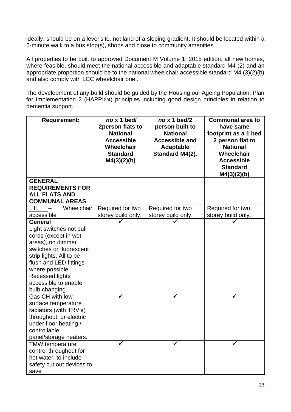ideally, should be on a level site, not land of a sloping gradient. It should be located within a 5-minute walk to a bus stop(s), shops and close to community amenities.

All properties to be built to approved Document M Volume 1: 2015 edition, all new homes, where feasible, should meet the national accessible and adaptable standard M4 (2) and an appropriate proportion should be to the national wheelchair accessible standard M4 (3)(2)(b) and also comply with LCC wheelchair brief.

The development of any build should be guided by the Housing our Ageing Population, Plan for Implementation 2 (HAPPI2/4) principles including good design principles in relation to dementia support.

| <b>Requirement:</b>                            | no x 1 bed/<br>2person flats to | no x 1 bed/2<br>person built to | <b>Communal area to</b><br>have same |
|------------------------------------------------|---------------------------------|---------------------------------|--------------------------------------|
|                                                | <b>National</b>                 | <b>National</b>                 | footprint as a 1 bed                 |
|                                                | <b>Accessible</b>               | <b>Accessible and</b>           | 2 person flat to                     |
|                                                | Wheelchair                      | <b>Adaptable</b>                | <b>National</b>                      |
|                                                | <b>Standard</b>                 | Standard M4(2).                 | Wheelchair                           |
|                                                | M4(3)(2)(b)                     |                                 | <b>Accessible</b>                    |
|                                                |                                 |                                 | <b>Standard</b>                      |
|                                                |                                 |                                 | M4(3)(2)(b)                          |
| <b>GENERAL</b>                                 |                                 |                                 |                                      |
| <b>REQUIREMENTS FOR</b>                        |                                 |                                 |                                      |
| <b>ALL FLATS AND</b>                           |                                 |                                 |                                      |
| <b>COMMUNAL AREAS</b>                          |                                 |                                 |                                      |
| Wheelchair<br>Lift<br>$\overline{\phantom{0}}$ | Required for two                | Required for two                | Required for two                     |
| accessible                                     | storey build only.              | storey build only.              | storey build only.                   |
| General                                        |                                 |                                 |                                      |
| Light switches not pull                        |                                 |                                 |                                      |
| cords (except in wet                           |                                 |                                 |                                      |
| areas), no dimmer                              |                                 |                                 |                                      |
| switches or fluorescent                        |                                 |                                 |                                      |
| strip lights. All to be                        |                                 |                                 |                                      |
| flush and LED fittings                         |                                 |                                 |                                      |
| where possible.                                |                                 |                                 |                                      |
| <b>Recessed lights</b>                         |                                 |                                 |                                      |
| accessible to enable                           |                                 |                                 |                                      |
| bulb changing.                                 |                                 |                                 |                                      |
| Gas CH with low                                |                                 |                                 |                                      |
| surface temperature                            |                                 |                                 |                                      |
| radiators (with TRV's)                         |                                 |                                 |                                      |
| throughout, or electric                        |                                 |                                 |                                      |
| under floor heating /                          |                                 |                                 |                                      |
| controllable                                   |                                 |                                 |                                      |
| panel/storage heaters.                         |                                 |                                 |                                      |
| <b>TMW</b> temperature                         |                                 |                                 |                                      |
| control throughout for                         |                                 |                                 |                                      |
| hot water, to include                          |                                 |                                 |                                      |
| safety cut out devices to                      |                                 |                                 |                                      |
| save                                           |                                 |                                 |                                      |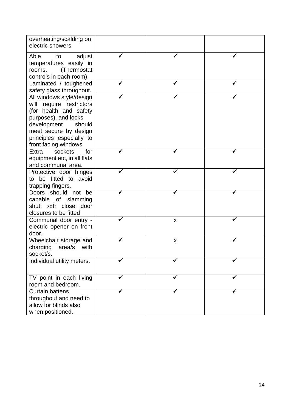| overheating/scalding on<br>electric showers                                                                                                                                                                   |                    |  |
|---------------------------------------------------------------------------------------------------------------------------------------------------------------------------------------------------------------|--------------------|--|
| Able<br>adjust<br>to<br>temperatures easily in<br>(Thermostat<br>rooms.<br>controls in each room).                                                                                                            |                    |  |
| Laminated / toughened<br>safety glass throughout.                                                                                                                                                             |                    |  |
| All windows style/design<br>will require restrictors<br>(for health and safety<br>purposes), and locks<br>development<br>should<br>meet secure by design<br>principles especially to<br>front facing windows. |                    |  |
| for<br>sockets<br>Extra<br>equipment etc, in all flats<br>and communal area.                                                                                                                                  |                    |  |
| Protective door hinges<br>to be fitted to avoid<br>trapping fingers.                                                                                                                                          |                    |  |
| Doors should<br>not<br>be<br>capable of slamming<br>shut, soft close door<br>closures to be fitted                                                                                                            |                    |  |
| Communal door entry -<br>electric opener on front<br>door.                                                                                                                                                    | $\pmb{\mathsf{X}}$ |  |
| Wheelchair storage and<br>charging<br>area/s<br>with<br>socket/s.                                                                                                                                             | $\pmb{\mathsf{X}}$ |  |
| Individual utility meters.                                                                                                                                                                                    |                    |  |
| TV point in each living<br>room and bedroom.                                                                                                                                                                  |                    |  |
| <b>Curtain battens</b><br>throughout and need to<br>allow for blinds also<br>when positioned.                                                                                                                 |                    |  |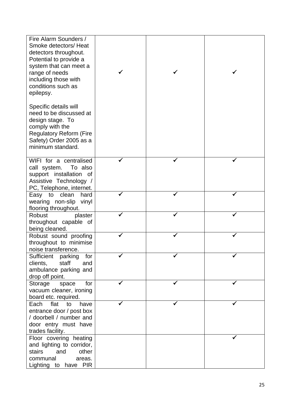| Fire Alarm Sounders /<br>Smoke detectors/ Heat<br>detectors throughout.<br>Potential to provide a<br>system that can meet a<br>range of needs<br>including those with<br>conditions such as<br>epilepsy. |  |  |
|----------------------------------------------------------------------------------------------------------------------------------------------------------------------------------------------------------|--|--|
| Specific details will<br>need to be discussed at<br>design stage. To<br>comply with the<br><b>Regulatory Reform (Fire</b><br>Safety) Order 2005 as a<br>minimum standard.                                |  |  |
| WIFI for a centralised<br>call system.<br>To also<br>support installation of<br>Assistive Technology /<br>PC, Telephone, internet.                                                                       |  |  |
| Easy to<br>clean<br>hard<br>wearing non-slip<br>vinyl<br>flooring throughout.                                                                                                                            |  |  |
| <b>Robust</b><br>plaster<br>throughout capable of<br>being cleaned.                                                                                                                                      |  |  |
| Robust sound proofing<br>throughout to minimise<br>noise transference.                                                                                                                                   |  |  |
| Sufficient<br>parking<br>for<br>staff<br>clients,<br>and<br>ambulance parking and<br>drop off point.                                                                                                     |  |  |
| Storage<br>for<br>space<br>vacuum cleaner, ironing<br>board etc. required.                                                                                                                               |  |  |
| flat<br>Each<br>have<br>to<br>entrance door / post box<br>/ doorbell / number and<br>door entry must have<br>trades facility.                                                                            |  |  |
| Floor covering heating<br>and lighting to corridor,<br>stairs<br>and<br>other<br>communal<br>areas.<br>Lighting to have PIR                                                                              |  |  |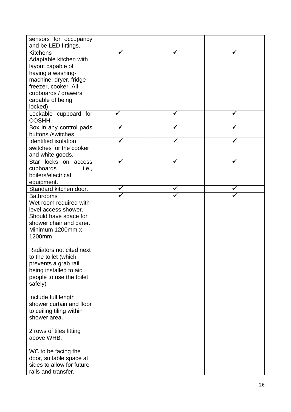| sensors for occupancy<br>and be LED fittings. |  |  |
|-----------------------------------------------|--|--|
| <b>Kitchens</b>                               |  |  |
| Adaptable kitchen with                        |  |  |
| layout capable of                             |  |  |
|                                               |  |  |
| having a washing-                             |  |  |
| machine, dryer, fridge                        |  |  |
| freezer, cooker. All                          |  |  |
| cupboards / drawers                           |  |  |
| capable of being                              |  |  |
| locked)                                       |  |  |
| Lockable cupboard for<br>COSHH.               |  |  |
| Box in any control pads                       |  |  |
| buttons /switches.                            |  |  |
| <b>Identified isolation</b>                   |  |  |
| switches for the cooker                       |  |  |
| and white goods.                              |  |  |
| Star locks on access                          |  |  |
| cupboards<br>i.e.,                            |  |  |
| boilers/electrical                            |  |  |
| equipment.                                    |  |  |
| Standard kitchen door.                        |  |  |
| <b>Bathrooms</b>                              |  |  |
| Wet room required with                        |  |  |
| level access shower.                          |  |  |
| Should have space for                         |  |  |
| shower chair and carer.                       |  |  |
| Minimum 1200mm x                              |  |  |
| 1200mm                                        |  |  |
|                                               |  |  |
| Radiators not cited next                      |  |  |
| to the toilet (which                          |  |  |
| prevents a grab rail                          |  |  |
| being installed to aid                        |  |  |
| people to use the toilet                      |  |  |
| safely)                                       |  |  |
|                                               |  |  |
| Include full length                           |  |  |
| shower curtain and floor                      |  |  |
| to ceiling tiling within                      |  |  |
| shower area.                                  |  |  |
|                                               |  |  |
| 2 rows of tiles fitting                       |  |  |
| above WHB.                                    |  |  |
|                                               |  |  |
| WC to be facing the                           |  |  |
| door, suitable space at                       |  |  |
| sides to allow for future                     |  |  |
|                                               |  |  |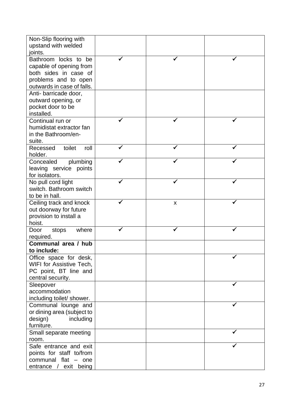| Non-Slip flooring with     |   |  |
|----------------------------|---|--|
| upstand with welded        |   |  |
| joints.                    |   |  |
| Bathroom locks to<br>be    |   |  |
| capable of opening from    |   |  |
| both sides in case of      |   |  |
| problems and to open       |   |  |
| outwards in case of falls. |   |  |
| Anti- barricade door,      |   |  |
| outward opening, or        |   |  |
| pocket door to be          |   |  |
| installed.                 |   |  |
| Continual run or           |   |  |
| humidistat extractor fan   |   |  |
| in the Bathroom/en-        |   |  |
| suite.                     |   |  |
| toilet<br>Recessed<br>roll |   |  |
| holder.                    |   |  |
| Concealed<br>plumbing      |   |  |
| leaving service<br>points  |   |  |
| for isolators.             |   |  |
| No pull cord light         |   |  |
| switch. Bathroom switch    |   |  |
| to be in hall.             |   |  |
| Ceiling track and knock    | X |  |
| out doorway for future     |   |  |
| provision to install a     |   |  |
| hoist.                     |   |  |
| where<br>Door<br>stops     |   |  |
| required.                  |   |  |
| Communal area / hub        |   |  |
| to include:                |   |  |
| Office space for desk,     |   |  |
| WIFI for Assistive Tech,   |   |  |
| PC point, BT line and      |   |  |
| central security.          |   |  |
| Sleepover                  |   |  |
| accommodation              |   |  |
| including toilet/ shower.  |   |  |
| Communal lounge and        |   |  |
| or dining area (subject to |   |  |
| design)<br>including       |   |  |
| furniture.                 |   |  |
| Small separate meeting     |   |  |
| room.                      |   |  |
| Safe entrance and exit     |   |  |
| points for staff to/from   |   |  |
| communal flat - one        |   |  |
| exit being<br>entrance /   |   |  |
|                            |   |  |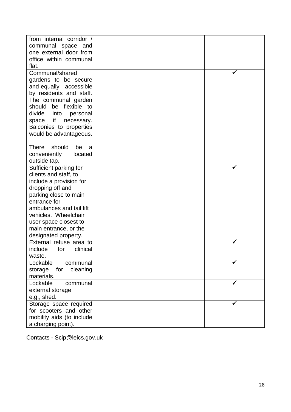| from internal corridor /   |  |  |
|----------------------------|--|--|
|                            |  |  |
| communal space and         |  |  |
| one external door from     |  |  |
| office within communal     |  |  |
| flat.                      |  |  |
| Communal/shared            |  |  |
| gardens to be secure       |  |  |
| and equally accessible     |  |  |
| by residents and staff.    |  |  |
| The communal garden        |  |  |
| should be flexible to      |  |  |
|                            |  |  |
| divide<br>into<br>personal |  |  |
| if<br>space<br>necessary.  |  |  |
| Balconies to properties    |  |  |
| would be advantageous.     |  |  |
|                            |  |  |
| There<br>should<br>be<br>a |  |  |
| conveniently<br>located    |  |  |
| outside tap.               |  |  |
| Sufficient parking for     |  |  |
| clients and staff, to      |  |  |
| include a provision for    |  |  |
| dropping off and           |  |  |
| parking close to main      |  |  |
| entrance for               |  |  |
| ambulances and tail lift   |  |  |
| vehicles. Wheelchair       |  |  |
| user space closest to      |  |  |
| main entrance, or the      |  |  |
|                            |  |  |
| designated property.       |  |  |
| External refuse area to    |  |  |
| include<br>for<br>clinical |  |  |
| waste.                     |  |  |
| Lockable<br>communal       |  |  |
| storage<br>for<br>cleaning |  |  |
| materials.                 |  |  |
| Lockable<br>communal       |  |  |
| external storage           |  |  |
| e.g., shed.                |  |  |
| Storage space required     |  |  |
| for scooters and other     |  |  |
| mobility aids (to include  |  |  |
| a charging point).         |  |  |
|                            |  |  |

Contacts - Scip@leics.gov.uk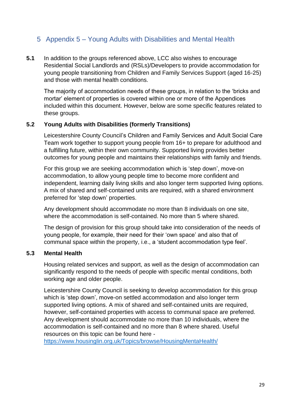# <span id="page-29-0"></span>5 Appendix 5 – Young Adults with Disabilities and Mental Health

**5.1** In addition to the groups referenced above, LCC also wishes to encourage Residential Social Landlords and (RSLs)/Developers to provide accommodation for young people transitioning from Children and Family Services Support (aged 16-25) and those with mental health conditions.

The majority of accommodation needs of these groups, in relation to the 'bricks and mortar' element of properties is covered within one or more of the Appendices included within this document. However, below are some specific features related to these groups.

#### **5.2 Young Adults with Disabilities (formerly Transitions)**

Leicestershire County Council's Children and Family Services and Adult Social Care Team work together to support young people from 16+ to prepare for adulthood and a fulfilling future, within their own community. Supported living provides better outcomes for young people and maintains their relationships with family and friends.

For this group we are seeking accommodation which is 'step down', move-on accommodation, to allow young people time to become more confident and independent, learning daily living skills and also longer term supported living options. A mix of shared and self-contained units are required, with a shared environment preferred for 'step down' properties.

Any development should accommodate no more than 8 individuals on one site, where the accommodation is self-contained. No more than 5 where shared.

The design of provision for this group should take into consideration of the needs of young people, for example, their need for their 'own space' and also that of communal space within the property, i.e., a 'student accommodation type feel'.

#### **5.3 Mental Health**

Housing related services and support, as well as the design of accommodation can significantly respond to the needs of people with specific mental conditions, both working age and older people.

Leicestershire County Council is seeking to develop accommodation for this group which is 'step down', move-on settled accommodation and also longer term supported living options. A mix of shared and self-contained units are required, however, self-contained properties with access to communal space are preferred. Any development should accommodate no more than 10 individuals, where the accommodation is self-contained and no more than 8 where shared. Useful resources on this topic can be found here -

<https://www.housinglin.org.uk/Topics/browse/HousingMentaHealth/>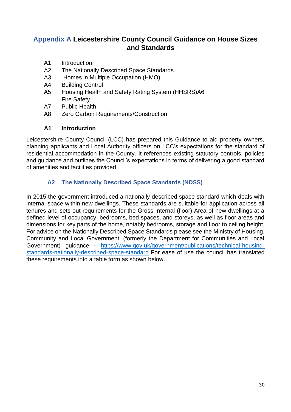# <span id="page-30-0"></span>**Appendix A Leicestershire County Council Guidance on House Sizes and Standards**

- A1 Introduction
- A2 The Nationally Described Space Standards
- A3 Homes in Multiple Occupation (HMO)
- A4 Building Control
- A5 Housing Health and Safety Rating System (HHSRS)A6 Fire Safety
- A7 Public Health
- A8 Zero Carbon Requirements/Construction

#### **A1 Introduction**

Leicestershire County Council (LCC) has prepared this Guidance to aid property owners, planning applicants and Local Authority officers on LCC's expectations for the standard of residential accommodation in the County. It references existing statutory controls, policies and guidance and outlines the Council's expectations in terms of delivering a good standard of amenities and facilities provided.

#### **A2 The Nationally Described Space Standards (NDSS)**

<span id="page-30-1"></span>In 2015 the government introduced a nationally described space standard which deals with internal space within new dwellings. These standards are suitable for application across all tenures and sets out requirements for the Gross Internal (floor) Area of new dwellings at a defined level of occupancy, bedrooms, bed spaces, and storeys, as well as floor areas and dimensions for key parts of the home, notably bedrooms, storage and floor to ceiling height. For advice on the Nationally Described Space Standards please see the Ministry of Housing, Community and Local Government, (formerly the Department for Communities and Local Government) guidance - [https://www.gov.uk/government/publications/technical-housing](https://www.gov.uk/government/publications/technical-housing-standards-nationally-described-space-standard)[standards-nationally-described-space-standard](https://www.gov.uk/government/publications/technical-housing-standards-nationally-described-space-standard) For ease of use the council has translated these requirements into a table form as shown below.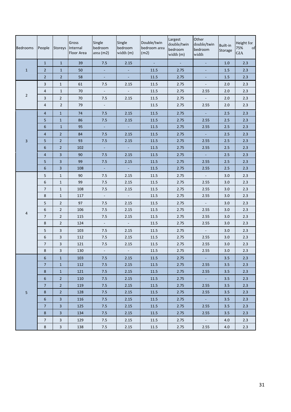| <b>Bedrooms</b> | People                  | Storeys                   | Gross<br>Internal<br>Floor Area | Single<br>bedroom<br>area (m2) | Single<br>bedroom<br>width (m) | Double/twin<br>bedroom area<br>(m2) | Largest<br>double/twin<br>bedroom<br>width (m) | Other<br>double/twin<br>bedroom<br>width | Built-in<br>Storage | Height for<br>75%<br>of<br><b>GIA</b> |
|-----------------|-------------------------|---------------------------|---------------------------------|--------------------------------|--------------------------------|-------------------------------------|------------------------------------------------|------------------------------------------|---------------------|---------------------------------------|
|                 | $\mathbf{1}$            | $\mathbf{1}$              | 39                              | 7.5                            | 2.15                           | $\sim$                              | $\omega$                                       | $\omega$                                 | 1.0                 | 2.3                                   |
| $\mathbf{1}$    | $\overline{2}$          | $\mathbf{1}$              | 50                              | $\sim$                         | $\omega$                       | 11.5                                | 2.75                                           | $\Box$                                   | $1.5\,$             | 2.3                                   |
|                 | $\overline{2}$          | $\overline{2}$            | 58                              | ÷,                             | $\omega$                       | 11.5                                | 2.75                                           | ÷                                        | 1.5                 | 2.3                                   |
|                 | 3                       | $\mathbf{1}$              | 61                              | 7.5                            | 2.15                           | 11.5                                | 2.75                                           | $\Box$                                   | 2.0                 | 2.3                                   |
|                 | 4                       | $\mathbf 1$               | 70                              | $\overline{\phantom{a}}$       | $\blacksquare$                 | 11.5                                | 2.75                                           | 2.55                                     | 2.0                 | 2.3                                   |
| $\overline{2}$  | 3                       | $\overline{2}$            | 70                              | 7.5                            | 2.15                           | 11.5                                | 2.75                                           | $\omega$                                 | 2.0                 | 2.3                                   |
|                 | 4                       | $\overline{2}$            | 79                              | $\overline{\phantom{a}}$       |                                | 11.5                                | 2.75                                           | 2.55                                     | 2.0                 | 2.3                                   |
|                 | $\overline{4}$          | $\mathbf{1}$              | 74                              | 7.5                            | 2.15                           | 11.5                                | 2.75                                           | $\omega$                                 | 2.5                 | 2.3                                   |
|                 | 5                       | $\mathbf 1$               | 86                              | 7.5                            | 2.15                           | 11.5                                | 2.75                                           | 2.55                                     | 2.5                 | 2.3                                   |
|                 | 6                       | $1\,$                     | 95                              | $\pm$                          | $\omega$                       | 11.5                                | 2.75                                           | 2.55                                     | 2.5                 | 2.3                                   |
|                 | $\overline{4}$          | $\overline{2}$            | 84                              | 7.5                            | 2.15                           | 11.5                                | 2.75                                           | ÷,                                       | 2.5                 | 2.3                                   |
| $\overline{3}$  | 5                       | $\overline{2}$            | 93                              | 7.5                            | 2.15                           | 11.5                                | 2.75                                           | 2.55                                     | 2.5                 | 2.3                                   |
|                 | 6                       | $\sqrt{2}$                | 102                             | $\pm$                          | $\omega$                       | 11.5                                | 2.75                                           | 2.55                                     | 2.5                 | 2.3                                   |
|                 | $\overline{\mathbf{4}}$ | $\overline{\mathbf{3}}$   | 90                              | 7.5                            | 2.15                           | 11.5                                | 2.75                                           | ÷,                                       | 2.5                 | 2.3                                   |
|                 | 5                       | $\overline{\mathbf{3}}$   | 99                              | 7.5                            | 2.15                           | $11.5\,$                            | 2.75                                           | 2.55                                     | 2.5                 | 2.3                                   |
|                 | 6                       | $\overline{\mathbf{3}}$   | 108                             | $\blacksquare$                 | $\blacksquare$                 | 11.5                                | 2.75                                           | 2.55                                     | 2.5                 | 2.3                                   |
|                 | 5                       | $\mathbf{1}$              | 90                              | 7.5                            | 2.15                           | 11.5                                | 2.75                                           | $\mathbb{Z}^+$                           | 3.0                 | 2.3                                   |
|                 | 6                       | $\mathbf{1}$              | 99                              | 7.5                            | 2.15                           | $11.5\,$                            | 2.75                                           | 2.55                                     | 3.0                 | 2.3                                   |
|                 | $\overline{7}$          | $\mathbf{1}$              | 108                             | 7.5                            | 2.15                           | 11.5                                | 2.75                                           | 2.55                                     | 3.0                 | 2.3                                   |
|                 | 8                       | $\mathbf{1}$              | 117                             | $\Box$                         | $\mathbb{L}^+$                 | 11.5                                | 2.75                                           | 2.55                                     | 3.0                 | 2.3                                   |
|                 | 5                       | $\sqrt{2}$                | 97                              | 7.5                            | 2.15                           | 11.5                                | 2.75                                           | $\blacksquare$                           | 3.0                 | 2.3                                   |
|                 | 6                       | $\sqrt{2}$                | 106                             | 7.5                            | 2.15                           | 11.5                                | 2.75                                           | 2.55                                     | 3.0                 | 2.3                                   |
| $\overline{4}$  | 7                       | $\overline{2}$            | 115                             | 7.5                            | 2.15                           | 11.5                                | 2.75                                           | 2.55                                     | 3.0                 | 2.3                                   |
|                 | 8                       | $\sqrt{2}$                | 124                             | $\blacksquare$                 | $\mathbb{L}^+$                 | $11.5\,$                            | 2.75                                           | 2.55                                     | 3.0                 | 2.3                                   |
|                 | 5                       | $\mathsf{3}$              | 103                             | 7.5                            | 2.15                           | 11.5                                | 2.75                                           | $\mathbb{Z}^+$                           | 3.0                 | 2.3                                   |
|                 | 6                       | $\overline{3}$            | 112                             | 7.5                            | 2.15                           | 11.5                                | 2.75                                           | 2.55                                     | 3.0                 | 2.3                                   |
|                 | $\overline{7}$          | $\ensuremath{\mathsf{3}}$ | 121                             | 7.5                            | 2.15                           | $11.5\,$                            | 2.75                                           | 2.55                                     | 3.0                 | 2.3                                   |
|                 | $\bf 8$                 | 3                         | 130                             | $\Box$                         | $\Box$                         | 11.5                                | 2.75                                           | 2.55                                     | 3.0                 | 2.3                                   |
|                 | 6                       | $\mathbf{1}$              | 103                             | 7.5                            | 2.15                           | 11.5                                | 2.75                                           | $\sim$                                   | 3.5                 | 2.3                                   |
|                 | $\overline{7}$          | $\mathbf{1}$              | 112                             | 7.5                            | 2.15                           | $11.5\,$                            | 2.75                                           | 2.55                                     | 3.5                 | 2.3                                   |
|                 | 8                       | $\mathbf{1}$              | 121                             | 7.5                            | 2.15                           | 11.5                                | 2.75                                           | 2.55                                     | 3.5                 | 2.3                                   |
|                 | 6                       | $\overline{2}$            | 110                             | 7.5                            | 2.15                           | 11.5                                | 2.75                                           | $\Delta \phi$                            | 3.5                 | 2.3                                   |
|                 | $\overline{7}$          | $\overline{2}$            | 119                             | 7.5                            | 2.15                           | 11.5                                | 2.75                                           | 2.55                                     | 3.5                 | 2.3                                   |
| 5               | 8                       | $\overline{2}$            | 128                             | 7.5                            | 2.15                           | 11.5                                | 2.75                                           | 2.55                                     | 3.5                 | 2.3                                   |
|                 | 6                       | $\overline{\mathbf{3}}$   | 116                             | $7.5$                          | 2.15                           | 11.5                                | 2.75                                           | $\omega_{\rm c}$                         | 3.5                 | 2.3                                   |
|                 | $\overline{7}$          | $\overline{3}$            | 125                             | 7.5                            | 2.15                           | $11.5\,$                            | 2.75                                           | 2.55                                     | 3.5                 | 2.3                                   |
|                 | 8                       | $\overline{3}$            | 134                             | 7.5                            | 2.15                           | 11.5                                | 2.75                                           | 2.55                                     | 3.5                 | 2.3                                   |
|                 | 7                       | $\mathbf{3}$              | 129                             | 7.5                            | 2.15                           | 11.5                                | 2.75                                           | $\omega_{\rm c}$                         | 4.0                 | 2.3                                   |
|                 | $\,$ 8 $\,$             | $\mathbf{3}$              | 138                             | 7.5                            | 2.15                           | $11.5\,$                            | 2.75                                           | 2.55                                     | 4.0                 | 2.3                                   |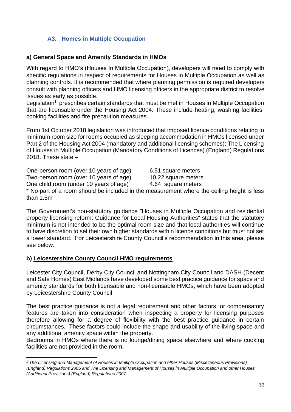## **A3. Homes in Multiple Occupation**

#### <span id="page-32-0"></span>**a) General Space and Amenity Standards in HMOs**

With regard to HMO's (Houses In Multiple Occupation), developers will need to comply with specific regulations in respect of requirements for Houses in Multiple Occupation as well as planning controls. It is recommended that where planning permission is required developers consult with planning officers and HMO licensing officers in the appropriate district to resolve issues as early as possible.

Legislation<sup>1</sup> prescribes certain standards that must be met in Houses in Multiple Occupation that are licensable under the Housing Act 2004. These include heating, washing facilities, cooking facilities and fire precaution measures.

From 1st October 2018 legislation was introduced that imposed licence conditions relating to minimum room size for rooms occupied as sleeping accommodation in HMOs licensed under Part 2 of the Housing Act 2004 (mandatory and additional licensing schemes): The Licensing of Houses in Multiple Occupation (Mandatory Conditions of Licences) (England) Regulations 2018. These state  $-$ 

One-person room (over 10 years of age) 6.51 square meters

Two-person room (over 10 years of age) 10.22 square meters

One child room (under 10 years of age) 4.64 square meters

\* No part of a room should be included in the measurement where the ceiling height is less than 1.5m

The Government's non-statutory guidance "Houses in Multiple Occupation and residential property licensing reform: Guidance for Local Housing Authorities" states that the statutory minimum is not intended to be the optimal room size and that local authorities will continue to have discretion to set their own higher standards within licence conditions but must not set a lower standard. For Leicestershire County Council's recommendation in this area, please see below.

#### **b) Leicestershire County Council HMO requirements**

Leicester City Council, Derby City Council and Nottingham City Council and DASH (Decent and Safe Homes) East Midlands have developed some best practice guidance for space and amenity standards for both licensable and non-licensable HMOs, which have been adopted by Leicestershire County Council.

The best practice guidance is not a legal requirement and other factors, or compensatory features are taken into consideration when inspecting a property for licensing purposes therefore allowing for a degree of flexibility with the best practice guidance in certain circumstances. These factors could include the shape and usability of the living space and any additional amenity space within the property.

Bedrooms in HMOs where there is no lounge/dining space elsewhere and where cooking facilities are not provided in the room.

*<sup>1</sup> The Licensing and Management of Houses in Multiple Occupation and other Houses (Miscellaneous Provisions) (England) Regulations 2006 and The Licensing and Management of Houses in Multiple Occupation and other Houses (Additional Provisions) (England) Regulations 2007*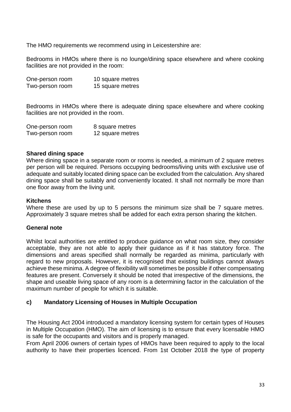The HMO requirements we recommend using in Leicestershire are:

Bedrooms in HMOs where there is no lounge/dining space elsewhere and where cooking facilities are not provided in the room:

| One-person room | 10 square metres |
|-----------------|------------------|
| Two-person room | 15 square metres |

Bedrooms in HMOs where there is adequate dining space elsewhere and where cooking facilities are not provided in the room.

| One-person room | 8 square metres  |
|-----------------|------------------|
| Two-person room | 12 square metres |

#### **Shared dining space**

Where dining space in a separate room or rooms is needed, a minimum of 2 square metres per person will be required. Persons occupying bedrooms/living units with exclusive use of adequate and suitably located dining space can be excluded from the calculation. Any shared dining space shall be suitably and conveniently located. It shall not normally be more than one floor away from the living unit.

#### **Kitchens**

Where these are used by up to 5 persons the minimum size shall be 7 square metres. Approximately 3 square metres shall be added for each extra person sharing the kitchen.

#### **General note**

Whilst local authorities are entitled to produce guidance on what room size, they consider acceptable, they are not able to apply their guidance as if it has statutory force. The dimensions and areas specified shall normally be regarded as minima, particularly with regard to new proposals. However, it is recognised that existing buildings cannot always achieve these minima. A degree of flexibility will sometimes be possible if other compensating features are present. Conversely it should be noted that irrespective of the dimensions, the shape and useable living space of any room is a determining factor in the calculation of the maximum number of people for which it is suitable.

#### **c) Mandatory Licensing of Houses in Multiple Occupation**

The Housing Act 2004 introduced a mandatory licensing system for certain types of Houses in Multiple Occupation (HMO). The aim of licensing is to ensure that every licensable HMO is safe for the occupants and visitors and is properly managed.

From April 2006 owners of certain types of HMOs have been required to apply to the local authority to have their properties licenced. From 1st October 2018 the type of property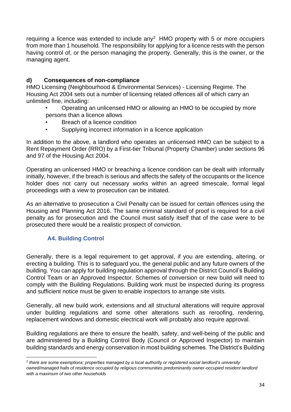requiring a licence was extended to include any<sup>2</sup> HMO property with 5 or more occupiers from more than 1 household. The responsibility for applying for a licence rests with the person having control of, or the person managing the property. Generally, this is the owner, or the managing agent.

## **d) Consequences of non-compliance**

HMO Licensing (Neighbourhood & Environmental Services) - Licensing Regime. The Housing Act 2004 sets out a number of licensing related offences all of which carry an unlimited fine, including:

- Operating an unlicensed HMO or allowing an HMO to be occupied by more persons than a licence allows
- Breach of a licence condition
- Supplying incorrect information in a licence application

In addition to the above, a landlord who operates an unlicensed HMO can be subject to a Rent Repayment Order (RRO) by a First-tier Tribunal (Property Chamber) under sections 96 and 97 of the Housing Act 2004.

Operating an unlicensed HMO or breaching a licence condition can be dealt with informally initially, however, if the breach is serious and affects the safety of the occupants or the licence holder does not carry out necessary works within an agreed timescale, formal legal proceedings with a view to prosecution can be initiated.

As an alternative to prosecution a Civil Penalty can be issued for certain offences using the Housing and Planning Act 2016. The same criminal standard of proof is required for a civil penalty as for prosecution and the Council must satisfy itself that of the case were to be prosecuted there would be a realistic prospect of conviction.

## **A4. Building Control**

<span id="page-34-0"></span>Generally, there is a legal requirement to get approval, if you are extending, altering, or erecting a building. This is to safeguard you, the general public and any future owners of the building. You can apply for building regulation approval through the District Council's Building Control Team or an Approved Inspector. Schemes of conversion or new build will need to comply with the Building Regulations. Building work must be inspected during its progress and sufficient notice must be given to enable inspectors to arrange site visits.

Generally, all new build work, extensions and all structural alterations will require approval under building regulations and some other alterations such as reroofing, rendering, replacement windows and domestic electrical work will probably also require approval.

Building regulations are there to ensure the health, safety, and well-being of the public and are administered by a Building Control Body (Council or Approved Inspector) to maintain building standards and energy conservation in most building schemes. The District's Building

*<sup>2</sup> there are some exemptions; properties managed by a local authority or registered social landlord's university owned/managed halls of residence occupied by religious communities predominantly owner-occupied resident landlord with a maximum of two other households*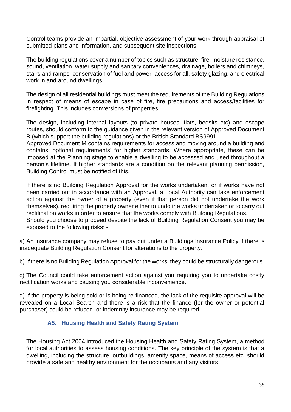Control teams provide an impartial, objective assessment of your work through appraisal of submitted plans and information, and subsequent site inspections.

The building regulations cover a number of topics such as structure, fire, moisture resistance, sound, ventilation, water supply and sanitary conveniences, drainage, boilers and chimneys, stairs and ramps, conservation of fuel and power, access for all, safety glazing, and electrical work in and around dwellings.

The design of all residential buildings must meet the requirements of the Building Regulations in respect of means of escape in case of fire, fire precautions and access/facilities for firefighting. This includes conversions of properties.

The design, including internal layouts (to private houses, flats, bedsits etc) and escape routes, should conform to the guidance given in the relevant version of Approved Document B (which support the building regulations) or the British Standard BS9991.

Approved Document M contains requirements for access and moving around a building and contains 'optional requirements' for higher standards. Where appropriate, these can be imposed at the Planning stage to enable a dwelling to be accessed and used throughout a person's lifetime. If higher standards are a condition on the relevant planning permission, Building Control must be notified of this.

If there is no Building Regulation Approval for the works undertaken, or if works have not been carried out in accordance with an Approval, a Local Authority can take enforcement action against the owner of a property (even if that person did not undertake the work themselves), requiring the property owner either to undo the works undertaken or to carry out rectification works in order to ensure that the works comply with Building Regulations. Should you choose to proceed despite the lack of Building Regulation Consent you may be exposed to the following risks: -

a) An insurance company may refuse to pay out under a Buildings Insurance Policy if there is inadequate Building Regulation Consent for alterations to the property.

b) If there is no Building Regulation Approval for the works, they could be structurally dangerous.

c) The Council could take enforcement action against you requiring you to undertake costly rectification works and causing you considerable inconvenience.

d) If the property is being sold or is being re-financed, the lack of the requisite approval will be revealed on a Local Search and there is a risk that the finance (for the owner or potential purchaser) could be refused, or indemnity insurance may be required.

## **A5. Housing Health and Safety Rating System**

<span id="page-35-0"></span>The Housing Act 2004 introduced the Housing Health and Safety Rating System, a method for local authorities to assess housing conditions. The key principle of the system is that a dwelling, including the structure, outbuildings, amenity space, means of access etc. should provide a safe and healthy environment for the occupants and any visitors.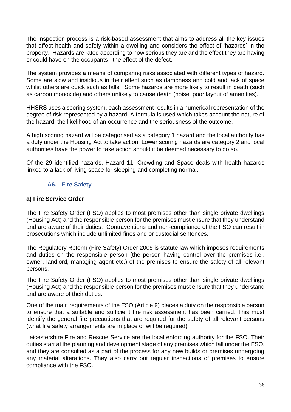The inspection process is a risk-based assessment that aims to address all the key issues that affect health and safety within a dwelling and considers the effect of 'hazards' in the property. Hazards are rated according to how serious they are and the effect they are having or could have on the occupants –the effect of the defect.

The system provides a means of comparing risks associated with different types of hazard. Some are slow and insidious in their effect such as dampness and cold and lack of space whilst others are quick such as falls. Some hazards are more likely to result in death (such as carbon monoxide) and others unlikely to cause death (noise, poor layout of amenities).

HHSRS uses a scoring system, each assessment results in a numerical representation of the degree of risk represented by a hazard. A formula is used which takes account the nature of the hazard, the likelihood of an occurrence and the seriousness of the outcome.

A high scoring hazard will be categorised as a category 1 hazard and the local authority has a duty under the Housing Act to take action. Lower scoring hazards are category 2 and local authorities have the power to take action should it be deemed necessary to do so.

Of the 29 identified hazards, Hazard 11: Crowding and Space deals with health hazards linked to a lack of living space for sleeping and completing normal.

#### **A6. Fire Safety**

#### <span id="page-36-0"></span>**a) Fire Service Order**

The Fire Safety Order (FSO) applies to most premises other than single private dwellings (Housing Act) and the responsible person for the premises must ensure that they understand and are aware of their duties. Contraventions and non-compliance of the FSO can result in prosecutions which include unlimited fines and or custodial sentences.

The Regulatory Reform (Fire Safety) Order 2005 is statute law which imposes requirements and duties on the responsible person (the person having control over the premises i.e., owner, landlord, managing agent etc.) of the premises to ensure the safety of all relevant persons.

The Fire Safety Order (FSO) applies to most premises other than single private dwellings (Housing Act) and the responsible person for the premises must ensure that they understand and are aware of their duties.

One of the main requirements of the FSO (Article 9) places a duty on the responsible person to ensure that a suitable and sufficient fire risk assessment has been carried. This must identify the general fire precautions that are required for the safety of all relevant persons (what fire safety arrangements are in place or will be required).

Leicestershire Fire and Rescue Service are the local enforcing authority for the FSO. Their duties start at the planning and development stage of any premises which fall under the FSO, and they are consulted as a part of the process for any new builds or premises undergoing any material alterations. They also carry out regular inspections of premises to ensure compliance with the FSO.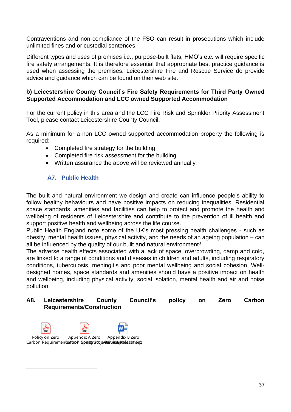Contraventions and non-compliance of the FSO can result in prosecutions which include unlimited fines and or custodial sentences.

Different types and uses of premises i.e., purpose-built flats, HMO's etc. will require specific fire safety arrangements. It is therefore essential that appropriate best practice guidance is used when assessing the premises. Leicestershire Fire and Rescue Service do provide advice and guidance which can be found on their web site.

#### **b) Leicestershire County Council's Fire Safety Requirements for Third Party Owned Supported Accommodation and LCC owned Supported Accommodation**

For the current policy in this area and the LCC Fire Risk and Sprinkler Priority Assessment Tool, please contact Leicestershire County Council.

As a minimum for a non LCC owned supported accommodation property the following is required:

- Completed fire strategy for the building
- Completed fire risk assessment for the building
- Written assurance the above will be reviewed annually

#### **A7. Public Health**

<span id="page-37-0"></span>The built and natural environment we design and create can influence people's ability to follow healthy behaviours and have positive impacts on reducing inequalities. Residential space standards, amenities and facilities can help to protect and promote the health and wellbeing of residents of Leicestershire and contribute to the prevention of ill health and support positive health and wellbeing across the life course.

Public Health England note some of the UK's most pressing health challenges - such as obesity, mental health issues, physical activity, and the needs of an ageing population – can all be influenced by the quality of our built and natural environment<sup>3</sup>.

The adverse health effects associated with a lack of space, overcrowding, damp and cold, are linked to a range of conditions and diseases in children and adults, including respiratory conditions, tuberculosis, meningitis and poor mental wellbeing and social cohesion. Welldesigned homes, space standards and amenities should have a positive impact on health and wellbeing, including physical activity, social isolation, mental health and air and noise pollution.

#### **A8. Leicestershire County Council's policy on Zero Carbon Requirements/Construction**



Carbon RequirementGafoo Piopersty Projectoin Construction Carbon Control Carbon Assessment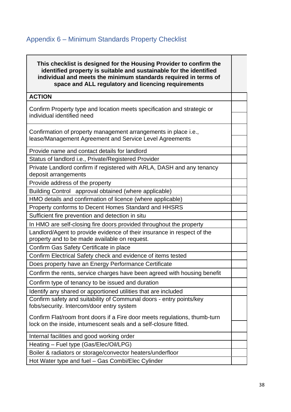# <span id="page-38-0"></span>Appendix 6 – Minimum Standards Property Checklist

#### **This checklist is designed for the Housing Provider to confirm the identified property is suitable and sustainable for the identified individual and meets the minimum standards required in terms of space and ALL regulatory and licencing requirements**

## **ACTION**

Confirm Property type and location meets specification and strategic or individual identified need

Confirmation of property management arrangements in place i.e., lease/Management Agreement and Service Level Agreements

Provide name and contact details for landlord

Status of landlord i.e., Private/Registered Provider

Private Landlord confirm if registered with ARLA, DASH and any tenancy deposit arrangements

Provide address of the property

Building Control approval obtained (where applicable)

HMO details and confirmation of licence (where applicable)

Property conforms to Decent Homes Standard and HHSRS

Sufficient fire prevention and detection in situ

In HMO are self-closing fire doors provided throughout the property

Landlord/Agent to provide evidence of their insurance in respect of the property and to be made available on request.

Confirm Gas Safety Certificate in place

Confirm Electrical Safety check and evidence of items tested

Does property have an Energy Performance Certificate

Confirm the rents, service charges have been agreed with housing benefit

Confirm type of tenancy to be issued and duration

Identify any shared or apportioned utilities that are included

Confirm safety and suitability of Communal doors - entry points/key fobs/security. Intercom/door entry system

Confirm Flat/room front doors if a Fire door meets regulations, thumb-turn lock on the inside, intumescent seals and a self-closure fitted.

Internal facilities and good working order

Heating – Fuel type (Gas/Elec/Oil/LPG)

Boiler & radiators or storage/convector heaters/underfloor

Hot Water type and fuel – Gas Combi/Elec Cylinder